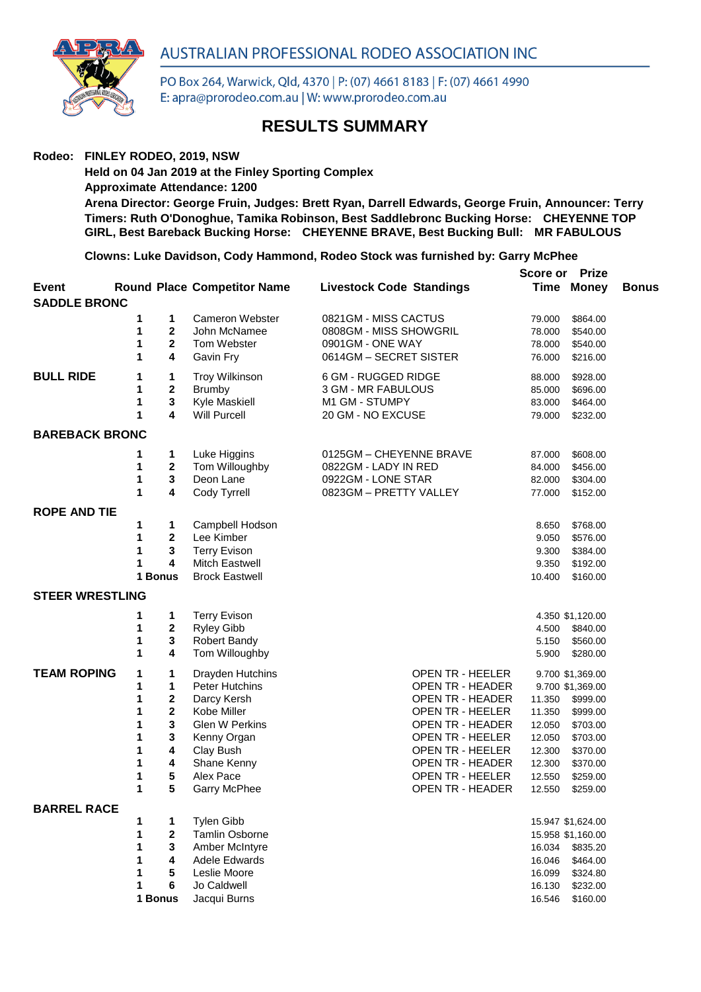



PO Box 264, Warwick, Qld, 4370 | P: (07) 4661 8183 | F: (07) 4661 4990 E: apra@prorodeo.com.au | W: www.prorodeo.com.au

## **RESULTS SUMMARY**

## **Rodeo: FINLEY RODEO, 2019, NSW**

**Held on 04 Jan 2019 at the Finley Sporting Complex Approximate Attendance: 1200 Arena Director: George Fruin, Judges: Brett Ryan, Darrell Edwards, George Fruin, Announcer: Terry Timers: Ruth O'Donoghue, Tamika Robinson, Best Saddlebronc Bucking Horse: CHEYENNE TOP GIRL, Best Bareback Bucking Horse: CHEYENNE BRAVE, Best Bucking Bull: MR FABULOUS**

**Clowns: Luke Davidson, Cody Hammond, Rodeo Stock was furnished by: Garry McPhee**

|                              |         |                   |                                      |                                      | Score or         | <b>Prize</b>                           |              |
|------------------------------|---------|-------------------|--------------------------------------|--------------------------------------|------------------|----------------------------------------|--------------|
| Event<br><b>SADDLE BRONC</b> |         |                   | <b>Round Place Competitor Name</b>   | <b>Livestock Code Standings</b>      |                  | <b>Time Money</b>                      | <b>Bonus</b> |
|                              | 1       | 1                 | Cameron Webster                      | 0821GM - MISS CACTUS                 | 79.000           | \$864.00                               |              |
|                              | 1       | $\mathbf 2$       | John McNamee                         | 0808GM - MISS SHOWGRIL               | 78.000           | \$540.00                               |              |
|                              | 1       | $\mathbf 2$       | Tom Webster                          | 0901GM - ONE WAY                     | 78.000           | \$540.00                               |              |
|                              | 1       | 4                 | Gavin Fry                            | 0614GM - SECRET SISTER               | 76.000           | \$216.00                               |              |
| <b>BULL RIDE</b>             | 1       | 1                 | <b>Troy Wilkinson</b>                | 6 GM - RUGGED RIDGE                  | 88.000           | \$928.00                               |              |
|                              | 1       | $\mathbf 2$       | <b>Brumby</b>                        | 3 GM - MR FABULOUS                   | 85.000           | \$696.00                               |              |
|                              | 1<br>1  | $\mathbf{3}$<br>4 | Kyle Maskiell<br><b>Will Purcell</b> | M1 GM - STUMPY<br>20 GM - NO EXCUSE  | 83.000<br>79.000 | \$464.00<br>\$232.00                   |              |
| <b>BAREBACK BRONC</b>        |         |                   |                                      |                                      |                  |                                        |              |
|                              | 1       | 1                 | Luke Higgins                         | 0125GM - CHEYENNE BRAVE              | 87.000           | \$608.00                               |              |
|                              | 1       | 2                 | Tom Willoughby                       | 0822GM - LADY IN RED                 | 84.000           | \$456.00                               |              |
|                              | 1       | $\mathbf{3}$      | Deon Lane                            | 0922GM - LONE STAR                   | 82.000           | \$304.00                               |              |
|                              | 1       | 4                 | Cody Tyrrell                         | 0823GM - PRETTY VALLEY               | 77.000           | \$152.00                               |              |
| <b>ROPE AND TIE</b>          |         |                   |                                      |                                      |                  |                                        |              |
|                              | 1       | 1                 | Campbell Hodson                      |                                      | 8.650            | \$768.00                               |              |
|                              | 1       | $\mathbf 2$       | Lee Kimber                           |                                      | 9.050            | \$576.00                               |              |
|                              | 1       | 3                 | <b>Terry Evison</b>                  |                                      | 9.300            | \$384.00                               |              |
|                              | 1       | 4                 | Mitch Eastwell                       |                                      | 9.350            | \$192.00                               |              |
|                              | 1 Bonus |                   | <b>Brock Eastwell</b>                |                                      | 10.400           | \$160.00                               |              |
| <b>STEER WRESTLING</b>       |         |                   |                                      |                                      |                  |                                        |              |
|                              | 1       | 1                 | <b>Terry Evison</b>                  |                                      |                  | 4.350 \$1,120.00                       |              |
|                              | 1       | 2                 | <b>Ryley Gibb</b>                    |                                      | 4.500            | \$840.00                               |              |
|                              | 1       | 3                 | <b>Robert Bandy</b>                  |                                      | 5.150            | \$560.00                               |              |
|                              | 1       | 4                 | Tom Willoughby                       |                                      | 5.900            | \$280.00                               |              |
| <b>TEAM ROPING</b>           | 1       | 1                 | Drayden Hutchins                     | OPEN TR - HEELER                     |                  | 9.700 \$1,369.00                       |              |
|                              | 1       | 1                 | <b>Peter Hutchins</b>                | OPEN TR - HEADER                     |                  | 9.700 \$1,369.00                       |              |
|                              | 1       | 2                 | Darcy Kersh                          | <b>OPEN TR - HEADER</b>              | 11.350           | \$999.00                               |              |
|                              | 1       | $\mathbf 2$       | Kobe Miller                          | OPEN TR - HEELER                     | 11.350           | \$999.00                               |              |
|                              | 1       | 3                 | Glen W Perkins                       | OPEN TR - HEADER                     | 12.050           | \$703.00                               |              |
|                              | 1       | 3                 | Kenny Organ                          | OPEN TR - HEELER                     | 12.050           | \$703.00                               |              |
|                              | 1       | 4                 | Clay Bush                            | OPEN TR - HEELER                     | 12.300           | \$370.00                               |              |
|                              | 1       | 4                 | Shane Kenny                          | <b>OPEN TR - HEADER</b>              | 12.300           | \$370.00                               |              |
|                              | 1<br>1  | 5<br>5            | Alex Pace<br>Garry McPhee            | OPEN TR - HEELER<br>OPEN TR - HEADER | 12.550<br>12.550 | \$259.00                               |              |
|                              |         |                   |                                      |                                      |                  | \$259.00                               |              |
| <b>BARREL RACE</b>           | 1       | 1                 | <b>Tylen Gibb</b>                    |                                      |                  |                                        |              |
|                              | 1       | $\mathbf 2$       | <b>Tamlin Osborne</b>                |                                      |                  | 15.947 \$1,624.00<br>15.958 \$1,160.00 |              |
|                              | 1       | 3                 | Amber McIntyre                       |                                      | 16.034           | \$835.20                               |              |
|                              | 1       | 4                 | Adele Edwards                        |                                      | 16.046           | \$464.00                               |              |
|                              |         | 5                 | Leslie Moore                         |                                      | 16.099           | \$324.80                               |              |
|                              | 1       | 6                 | Jo Caldwell                          |                                      | 16.130           | \$232.00                               |              |
|                              | 1 Bonus |                   | Jacqui Burns                         |                                      | 16.546           | \$160.00                               |              |
|                              |         |                   |                                      |                                      |                  |                                        |              |